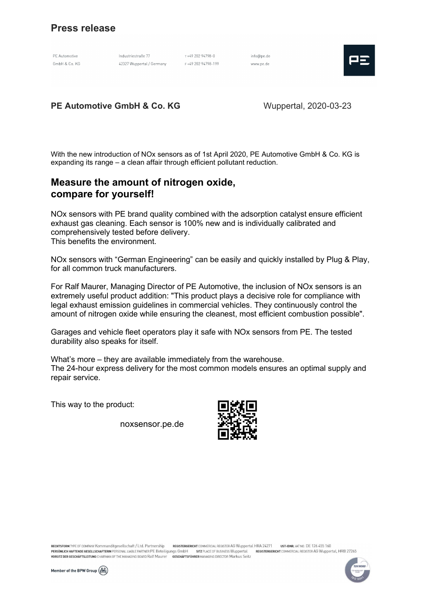# Press release

PE Automotive GmbH & Co. KG

Industriestraße 77 42327 Wuppertal / Germany

T+49 202 94798-0  $E + \lambda 9.202.94798 - 199$ 

info@pe.de www.pe.de



PE Automotive GmbH & Co. KG Wuppertal, 2020-03-23

With the new introduction of NOx sensors as of 1st April 2020, PE Automotive GmbH & Co. KG is expanding its range – a clean affair through efficient pollutant reduction.

### Measure the amount of nitrogen oxide, compare for yourself!

NOx sensors with PE brand quality combined with the adsorption catalyst ensure efficient exhaust gas cleaning. Each sensor is 100% new and is individually calibrated and comprehensively tested before delivery. This benefits the environment.

NOx sensors with "German Engineering" can be easily and quickly installed by Plug & Play, for all common truck manufacturers.

For Ralf Maurer, Managing Director of PE Automotive, the inclusion of NOx sensors is an extremely useful product addition: "This product plays a decisive role for compliance with legal exhaust emission guidelines in commercial vehicles. They continuously control the amount of nitrogen oxide while ensuring the cleanest, most efficient combustion possible".

Garages and vehicle fleet operators play it safe with NOx sensors from PE. The tested durability also speaks for itself.

What's more – they are available immediately from the warehouse. The 24-hour express delivery for the most common models ensures an optimal supply and repair service.

This way to the product:

noxsensor.pe.de



RECHTSFORM TYPE OF COMPANY Kommanditgesellschaft / Ltd. Partnership REGISTERGERICHT COMMERCIAL REGISTER AG Wuppertal HRA 24271 **UST-IDNR.** VAT NO. DE 126 455 160 REGISTERGERICHT COMMERCIAL REGISTER AG Wuppertal, HRB 27265 PERSÖNLICH HAFTENDE GESELLSCHAFTERIN PERSONAL LIABLE PARTNER PE Beteiligungs GmbH SITZ PLACE OF BUSINESS Wuppertal VORSITZ DER GESCHÄFTSLEITUNG CHAIRMAN OF THE MANAGING BOARD Ralf Maurer GESCHÄFTSFÜHRER MANAGING DIRECTOR Markus Seitz



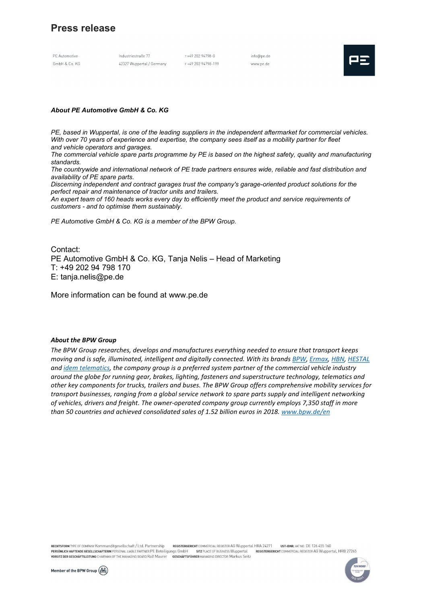# Press release

PE Automotive GmbH & Co. KG

Industriestraße 77 42327 Wuppertal / Germany T+49 202 94798-0  $E + 49.202.94798 - 199$ 

info@pe.de www.pe.de



### About PE Automotive GmbH & Co. KG

PE, based in Wuppertal, is one of the leading suppliers in the independent aftermarket for commercial vehicles. With over 70 years of experience and expertise, the company sees itself as a mobility partner for fleet and vehicle operators and garages.

The commercial vehicle spare parts programme by PE is based on the highest safety, quality and manufacturing standards.

The countrywide and international network of PE trade partners ensures wide, reliable and fast distribution and availability of PE spare parts.

Discerning independent and contract garages trust the company's garage-oriented product solutions for the perfect repair and maintenance of tractor units and trailers.

An expert team of 160 heads works every day to efficiently meet the product and service requirements of customers - and to optimise them sustainably.

PE Automotive GmbH & Co. KG is a member of the BPW Group.

Contact: PE Automotive GmbH & Co. KG, Tanja Nelis – Head of Marketing T: +49 202 94 798 170 E: tanja.nelis@pe.de

More information can be found at www.pe.de

#### About the BPW Group

The BPW Group researches, develops and manufactures everything needed to ensure that transport keeps moving and is safe, illuminated, intelligent and digitally connected. With its brands BPW, Ermax, HBN, HESTAL and idem telematics, the company group is a preferred system partner of the commercial vehicle industry around the globe for running gear, brakes, lighting, fasteners and superstructure technology, telematics and other key components for trucks, trailers and buses. The BPW Group offers comprehensive mobility services for transport businesses, ranging from a global service network to spare parts supply and intelligent networking of vehicles, drivers and freight. The owner-operated company group currently employs 7,350 staff in more than 50 countries and achieved consolidated sales of 1.52 billion euros in 2018. www.bpw.de/en

RECHTSFORM TYPE OF COMPANY Kommanditgesellschaft / Ltd. Partnership REGISTERGERICHT COMMERCIAL REGISTER AG Wuppertal HRA 24271 **UST-IDNR.** VAT NO. DE 126 455 160 PERSÖNLICH HAFTENDE GESELLSCHAFTERIN PERSONAL LIABLE PARTNER PE Beteiligungs GmbH SITZ PLACE OF BUSINESS Wuppertal REGISTERGERICHT COMMERCIAL REGISTER AG Wuppertal, HRB 27265 VORSITZ DER GESCHÄFTSLEITUNG CHAIRMAN OF THE MANAGING BOARD Ralf Maurer **GESCHÄFTSFÜHRER** MANAGING DIRECTOR Markus Seitz